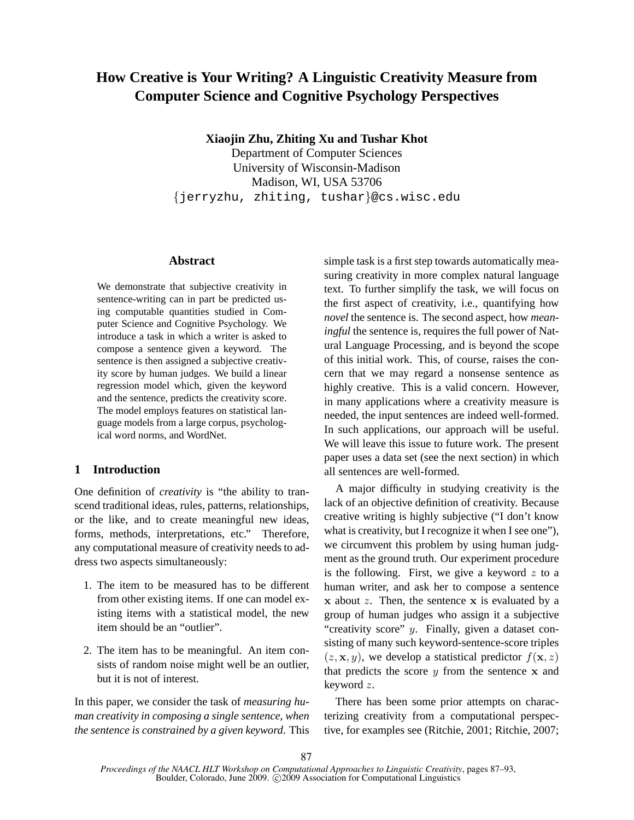# **How Creative is Your Writing? A Linguistic Creativity Measure from Computer Science and Cognitive Psychology Perspectives**

**Xiaojin Zhu, Zhiting Xu and Tushar Khot**

Department of Computer Sciences University of Wisconsin-Madison Madison, WI, USA 53706 {jerryzhu, zhiting, tushar}@cs.wisc.edu

#### **Abstract**

We demonstrate that subjective creativity in sentence-writing can in part be predicted using computable quantities studied in Computer Science and Cognitive Psychology. We introduce a task in which a writer is asked to compose a sentence given a keyword. The sentence is then assigned a subjective creativity score by human judges. We build a linear regression model which, given the keyword and the sentence, predicts the creativity score. The model employs features on statistical language models from a large corpus, psychological word norms, and WordNet.

## **1 Introduction**

One definition of *creativity* is "the ability to transcend traditional ideas, rules, patterns, relationships, or the like, and to create meaningful new ideas, forms, methods, interpretations, etc." Therefore, any computational measure of creativity needs to address two aspects simultaneously:

- 1. The item to be measured has to be different from other existing items. If one can model existing items with a statistical model, the new item should be an "outlier".
- 2. The item has to be meaningful. An item consists of random noise might well be an outlier, but it is not of interest.

In this paper, we consider the task of *measuring human creativity in composing a single sentence, when the sentence is constrained by a given keyword*. This simple task is a first step towards automatically measuring creativity in more complex natural language text. To further simplify the task, we will focus on the first aspect of creativity, i.e., quantifying how *novel* the sentence is. The second aspect, how *meaningful* the sentence is, requires the full power of Natural Language Processing, and is beyond the scope of this initial work. This, of course, raises the concern that we may regard a nonsense sentence as highly creative. This is a valid concern. However, in many applications where a creativity measure is needed, the input sentences are indeed well-formed. In such applications, our approach will be useful. We will leave this issue to future work. The present paper uses a data set (see the next section) in which all sentences are well-formed.

A major difficulty in studying creativity is the lack of an objective definition of creativity. Because creative writing is highly subjective ("I don't know what is creativity, but I recognize it when I see one"), we circumvent this problem by using human judgment as the ground truth. Our experiment procedure is the following. First, we give a keyword  $z$  to a human writer, and ask her to compose a sentence  $x$  about  $z$ . Then, the sentence  $x$  is evaluated by a group of human judges who assign it a subjective "creativity score"  $y$ . Finally, given a dataset consisting of many such keyword-sentence-score triples  $(z, \mathbf{x}, y)$ , we develop a statistical predictor  $f(\mathbf{x}, z)$ that predicts the score  $y$  from the sentence  $x$  and keyword z.

There has been some prior attempts on characterizing creativity from a computational perspective, for examples see (Ritchie, 2001; Ritchie, 2007;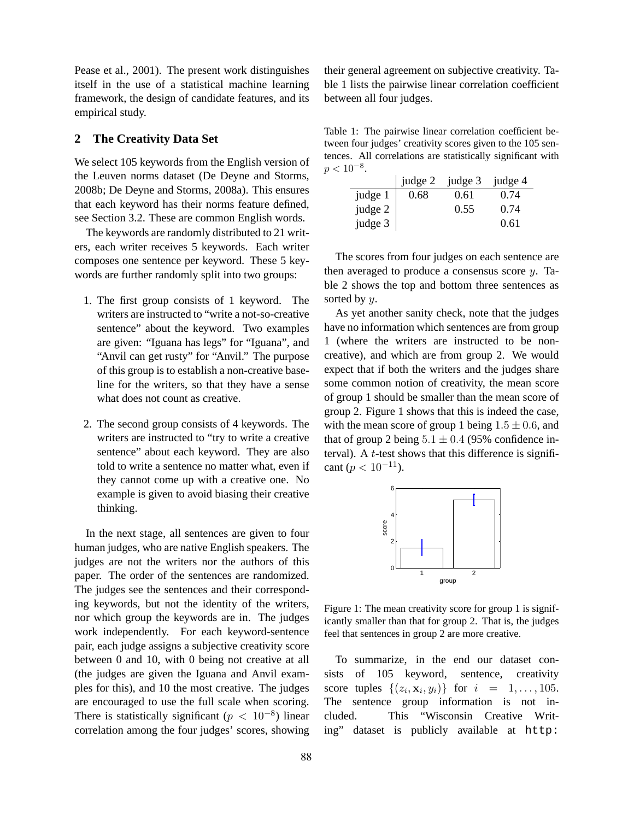Pease et al., 2001). The present work distinguishes itself in the use of a statistical machine learning framework, the design of candidate features, and its empirical study.

### **2 The Creativity Data Set**

We select 105 keywords from the English version of the Leuven norms dataset (De Deyne and Storms, 2008b; De Deyne and Storms, 2008a). This ensures that each keyword has their norms feature defined, see Section 3.2. These are common English words.

The keywords are randomly distributed to 21 writers, each writer receives 5 keywords. Each writer composes one sentence per keyword. These 5 keywords are further randomly split into two groups:

- 1. The first group consists of 1 keyword. The writers are instructed to "write a not-so-creative sentence" about the keyword. Two examples are given: "Iguana has legs" for "Iguana", and "Anvil can get rusty" for "Anvil." The purpose of this group is to establish a non-creative baseline for the writers, so that they have a sense what does not count as creative.
- 2. The second group consists of 4 keywords. The writers are instructed to "try to write a creative sentence" about each keyword. They are also told to write a sentence no matter what, even if they cannot come up with a creative one. No example is given to avoid biasing their creative thinking.

In the next stage, all sentences are given to four human judges, who are native English speakers. The judges are not the writers nor the authors of this paper. The order of the sentences are randomized. The judges see the sentences and their corresponding keywords, but not the identity of the writers, nor which group the keywords are in. The judges work independently. For each keyword-sentence pair, each judge assigns a subjective creativity score between 0 and 10, with 0 being not creative at all (the judges are given the Iguana and Anvil examples for this), and 10 the most creative. The judges are encouraged to use the full scale when scoring. There is statistically significant  $(p < 10^{-8})$  linear correlation among the four judges' scores, showing their general agreement on subjective creativity. Table 1 lists the pairwise linear correlation coefficient between all four judges.

Table 1: The pairwise linear correlation coefficient between four judges' creativity scores given to the 105 sentences. All correlations are statistically significant with  $p < 10^{-8}$ .

|         |      | judge 2 judge 3 judge 4 |      |
|---------|------|-------------------------|------|
| judge 1 | 0.68 | 0.61                    | 0.74 |
| judge 2 |      | 0.55                    | 0.74 |
| judge 3 |      |                         | 0.61 |

The scores from four judges on each sentence are then averaged to produce a consensus score  $y$ . Table 2 shows the top and bottom three sentences as sorted by  $y$ .

As yet another sanity check, note that the judges have no information which sentences are from group 1 (where the writers are instructed to be noncreative), and which are from group 2. We would expect that if both the writers and the judges share some common notion of creativity, the mean score of group 1 should be smaller than the mean score of group 2. Figure 1 shows that this is indeed the case, with the mean score of group 1 being  $1.5 \pm 0.6$ , and that of group 2 being  $5.1 \pm 0.4$  (95% confidence interval). A  $t$ -test shows that this difference is significant ( $p < 10^{-11}$ ).



Figure 1: The mean creativity score for group 1 is significantly smaller than that for group 2. That is, the judges feel that sentences in group 2 are more creative.

To summarize, in the end our dataset consists of 105 keyword, sentence, creativity score tuples  $\{(z_i, \mathbf{x}_i, y_i)\}\$  for  $i = 1, ..., 105$ . The sentence group information is not included. This "Wisconsin Creative Writing" dataset is publicly available at http: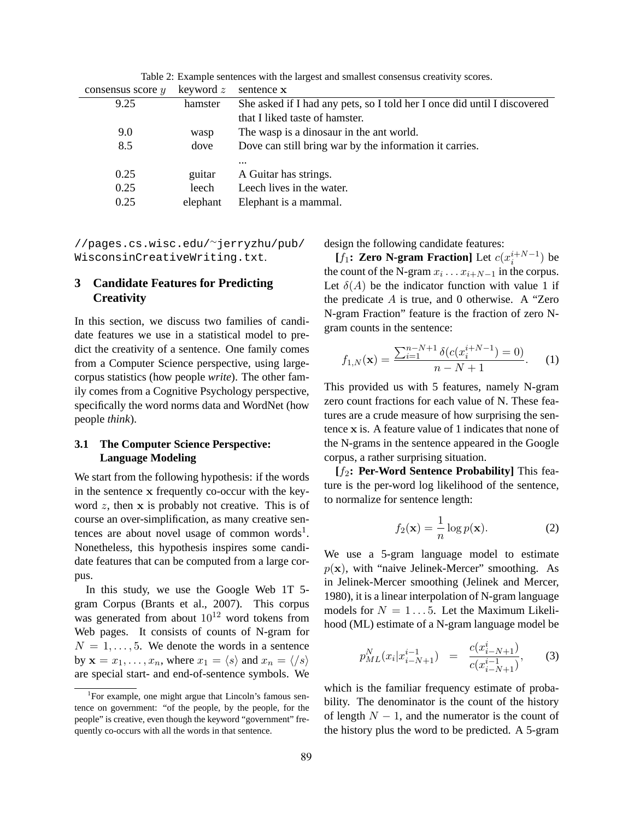| consensus score $y$ | keyword $z$ | sentence x                                                               |
|---------------------|-------------|--------------------------------------------------------------------------|
| 9.25                | hamster     | She asked if I had any pets, so I told her I once did until I discovered |
|                     |             | that I liked taste of hamster.                                           |
| 9.0                 | wasp        | The wasp is a dinosaur in the ant world.                                 |
| 8.5                 | dove        | Dove can still bring war by the information it carries.                  |
|                     |             | $\cdots$                                                                 |
| 0.25                | guitar      | A Guitar has strings.                                                    |
| 0.25                | leech       | Leech lives in the water.                                                |
| 0.25                | elephant    | Elephant is a mammal.                                                    |

Table 2: Example sentences with the largest and smallest consensus creativity scores.

//pages.cs.wisc.edu/∼jerryzhu/pub/ WisconsinCreativeWriting.txt.

## **3 Candidate Features for Predicting Creativity**

In this section, we discuss two families of candidate features we use in a statistical model to predict the creativity of a sentence. One family comes from a Computer Science perspective, using largecorpus statistics (how people *write*). The other family comes from a Cognitive Psychology perspective, specifically the word norms data and WordNet (how people *think*).

### **3.1 The Computer Science Perspective: Language Modeling**

We start from the following hypothesis: if the words in the sentence x frequently co-occur with the keyword  $z$ , then  $x$  is probably not creative. This is of course an over-simplification, as many creative sentences are about novel usage of common words<sup>1</sup>. Nonetheless, this hypothesis inspires some candidate features that can be computed from a large corpus.

In this study, we use the Google Web 1T 5 gram Corpus (Brants et al., 2007). This corpus was generated from about  $10^{12}$  word tokens from Web pages. It consists of counts of N-gram for  $N = 1, \ldots, 5$ . We denote the words in a sentence by  $\mathbf{x} = x_1, \dots, x_n$ , where  $x_1 = \langle s \rangle$  and  $x_n = \langle s \rangle$ are special start- and end-of-sentence symbols. We

design the following candidate features:

[f<sub>1</sub>: **Zero N-gram Fraction**] Let  $c(x_i^{i+N-1})$  be the count of the N-gram  $x_i \dots x_{i+N-1}$  in the corpus. Let  $\delta(A)$  be the indicator function with value 1 if the predicate  $A$  is true, and 0 otherwise. A "Zero" N-gram Fraction" feature is the fraction of zero Ngram counts in the sentence:

$$
f_{1,N}(\mathbf{x}) = \frac{\sum_{i=1}^{n-N+1} \delta(c(x_i^{i+N-1}) = 0)}{n - N + 1}.
$$
 (1)

This provided us with 5 features, namely N-gram zero count fractions for each value of N. These features are a crude measure of how surprising the sentence x is. A feature value of 1 indicates that none of the N-grams in the sentence appeared in the Google corpus, a rather surprising situation.

**[**f2**: Per-Word Sentence Probability]** This feature is the per-word log likelihood of the sentence, to normalize for sentence length:

$$
f_2(\mathbf{x}) = \frac{1}{n} \log p(\mathbf{x}).
$$
 (2)

We use a 5-gram language model to estimate  $p(x)$ , with "naive Jelinek-Mercer" smoothing. As in Jelinek-Mercer smoothing (Jelinek and Mercer, 1980), it is a linear interpolation of N-gram language models for  $N = 1...5$ . Let the Maximum Likelihood (ML) estimate of a N-gram language model be

$$
p_{ML}^N(x_i|x_{i-N+1}^{i-1}) = \frac{c(x_{i-N+1}^i)}{c(x_{i-N+1}^{i-1})},
$$
 (3)

which is the familiar frequency estimate of probability. The denominator is the count of the history of length  $N - 1$ , and the numerator is the count of the history plus the word to be predicted. A 5-gram

<sup>&</sup>lt;sup>1</sup>For example, one might argue that Lincoln's famous sentence on government: "of the people, by the people, for the people" is creative, even though the keyword "government" frequently co-occurs with all the words in that sentence.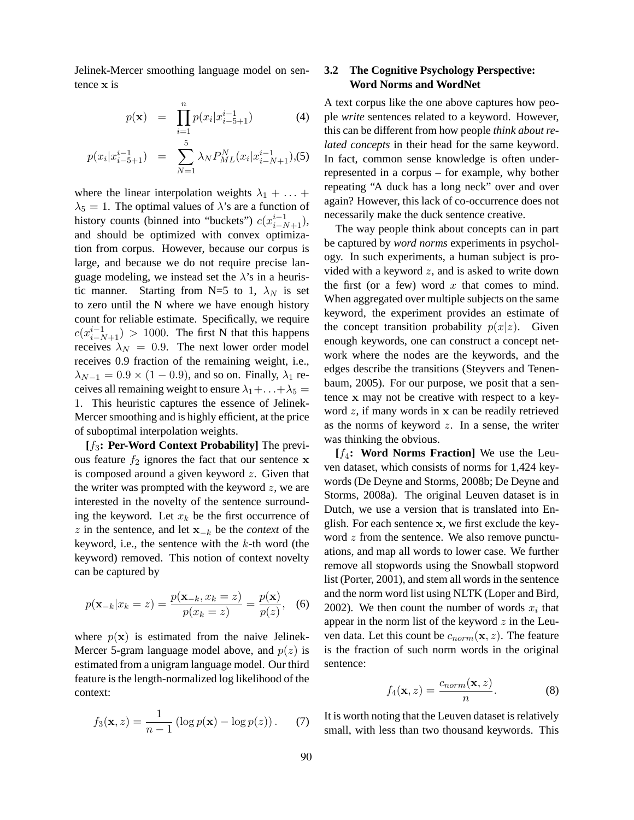Jelinek-Mercer smoothing language model on sentence x is

$$
p(\mathbf{x}) = \prod_{i=1}^{n} p(x_i | x_{i-5+1}^{i-1})
$$
 (4)

$$
p(x_i|x_{i-5+1}^{i-1}) = \sum_{N=1}^{5} \lambda_N P_{ML}^N(x_i|x_{i-N+1}^{i-1}), (5)
$$

where the linear interpolation weights  $\lambda_1 + \ldots +$  $\lambda_5 = 1$ . The optimal values of  $\lambda$ 's are a function of history counts (binned into "buckets")  $c(x_{i-N+1}^{i-1})$ , and should be optimized with convex optimization from corpus. However, because our corpus is large, and because we do not require precise language modeling, we instead set the  $\lambda$ 's in a heuristic manner. Starting from N=5 to 1,  $\lambda_N$  is set to zero until the N where we have enough history count for reliable estimate. Specifically, we require  $c(x_{i-N+1}^{i-1}) > 1000$ . The first N that this happens receives  $\lambda_N = 0.9$ . The next lower order model receives 0.9 fraction of the remaining weight, i.e.,  $\lambda_{N-1} = 0.9 \times (1 - 0.9)$ , and so on. Finally,  $\lambda_1$  receives all remaining weight to ensure  $\lambda_1 + \ldots + \lambda_5 =$ 1. This heuristic captures the essence of Jelinek-Mercer smoothing and is highly efficient, at the price of suboptimal interpolation weights.

**[**f3**: Per-Word Context Probability]** The previous feature  $f_2$  ignores the fact that our sentence x is composed around a given keyword  $z$ . Given that the writer was prompted with the keyword  $z$ , we are interested in the novelty of the sentence surrounding the keyword. Let  $x_k$  be the first occurrence of  $z$  in the sentence, and let  $\mathbf{x}_{-k}$  be the *context* of the keyword, i.e., the sentence with the  $k$ -th word (the keyword) removed. This notion of context novelty can be captured by

$$
p(\mathbf{x}_{-k}|x_k = z) = \frac{p(\mathbf{x}_{-k}, x_k = z)}{p(x_k = z)} = \frac{p(\mathbf{x})}{p(z)},
$$
 (6)

where  $p(x)$  is estimated from the naive Jelinek-Mercer 5-gram language model above, and  $p(z)$  is estimated from a unigram language model. Our third feature is the length-normalized log likelihood of the context:

$$
f_3(\mathbf{x}, z) = \frac{1}{n-1} \left( \log p(\mathbf{x}) - \log p(z) \right). \tag{7}
$$

## **3.2 The Cognitive Psychology Perspective: Word Norms and WordNet**

A text corpus like the one above captures how people *write* sentences related to a keyword. However, this can be different from how people *think about related concepts* in their head for the same keyword. In fact, common sense knowledge is often underrepresented in a corpus – for example, why bother repeating "A duck has a long neck" over and over again? However, this lack of co-occurrence does not necessarily make the duck sentence creative.

The way people think about concepts can in part be captured by *word norms* experiments in psychology. In such experiments, a human subject is provided with a keyword  $z$ , and is asked to write down the first (or a few) word  $x$  that comes to mind. When aggregated over multiple subjects on the same keyword, the experiment provides an estimate of the concept transition probability  $p(x|z)$ . Given enough keywords, one can construct a concept network where the nodes are the keywords, and the edges describe the transitions (Steyvers and Tenenbaum, 2005). For our purpose, we posit that a sentence x may not be creative with respect to a keyword z, if many words in x can be readily retrieved as the norms of keyword  $z$ . In a sense, the writer was thinking the obvious.

**[**f4**: Word Norms Fraction]** We use the Leuven dataset, which consists of norms for 1,424 keywords (De Deyne and Storms, 2008b; De Deyne and Storms, 2008a). The original Leuven dataset is in Dutch, we use a version that is translated into English. For each sentence x, we first exclude the keyword z from the sentence. We also remove punctuations, and map all words to lower case. We further remove all stopwords using the Snowball stopword list (Porter, 2001), and stem all words in the sentence and the norm word list using NLTK (Loper and Bird, 2002). We then count the number of words  $x_i$  that appear in the norm list of the keyword  $z$  in the Leuven data. Let this count be  $c_{norm}(\mathbf{x}, z)$ . The feature is the fraction of such norm words in the original sentence:

$$
f_4(\mathbf{x}, z) = \frac{c_{norm}(\mathbf{x}, z)}{n}.
$$
 (8)

It is worth noting that the Leuven dataset is relatively small, with less than two thousand keywords. This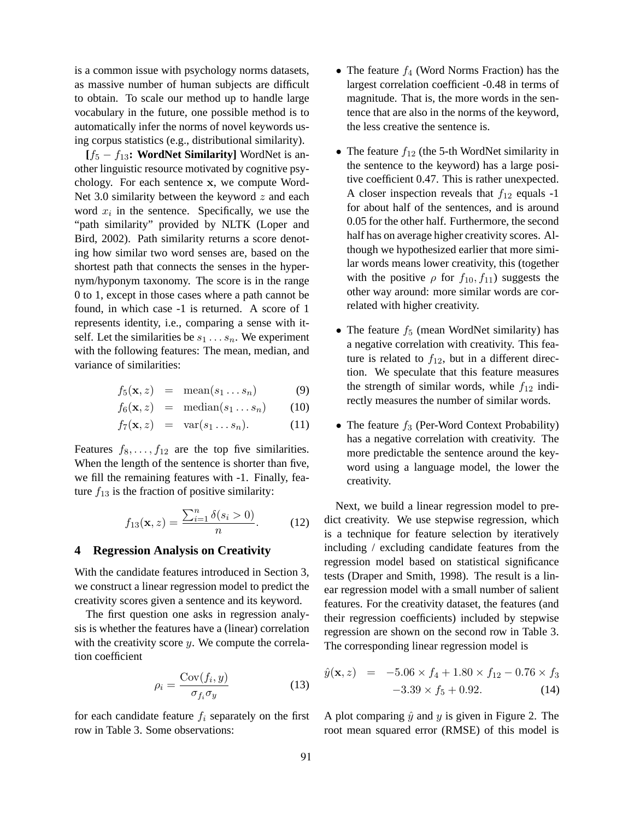is a common issue with psychology norms datasets, as massive number of human subjects are difficult to obtain. To scale our method up to handle large vocabulary in the future, one possible method is to automatically infer the norms of novel keywords using corpus statistics (e.g., distributional similarity).

**[**f<sup>5</sup> − f13**: WordNet Similarity]** WordNet is another linguistic resource motivated by cognitive psychology. For each sentence x, we compute Word-Net 3.0 similarity between the keyword  $z$  and each word  $x_i$  in the sentence. Specifically, we use the "path similarity" provided by NLTK (Loper and Bird, 2002). Path similarity returns a score denoting how similar two word senses are, based on the shortest path that connects the senses in the hypernym/hyponym taxonomy. The score is in the range 0 to 1, except in those cases where a path cannot be found, in which case -1 is returned. A score of 1 represents identity, i.e., comparing a sense with itself. Let the similarities be  $s_1 \ldots s_n$ . We experiment with the following features: The mean, median, and variance of similarities:

$$
f_5(\mathbf{x}, z) = \text{mean}(s_1 \dots s_n) \tag{9}
$$

$$
f_6(\mathbf{x}, z) = \text{median}(s_1 \dots s_n) \qquad (10)
$$

$$
f_7(\mathbf{x}, z) = \text{var}(s_1 \dots s_n). \tag{11}
$$

Features  $f_8, \ldots, f_{12}$  are the top five similarities. When the length of the sentence is shorter than five, we fill the remaining features with -1. Finally, feature  $f_{13}$  is the fraction of positive similarity:

$$
f_{13}(\mathbf{x}, z) = \frac{\sum_{i=1}^{n} \delta(s_i > 0)}{n}.
$$
 (12)

#### **4 Regression Analysis on Creativity**

With the candidate features introduced in Section 3, we construct a linear regression model to predict the creativity scores given a sentence and its keyword.

The first question one asks in regression analysis is whether the features have a (linear) correlation with the creativity score  $y$ . We compute the correlation coefficient

$$
\rho_i = \frac{\text{Cov}(f_i, y)}{\sigma_{f_i} \sigma_y} \tag{13}
$$

for each candidate feature  $f_i$  separately on the first row in Table 3. Some observations:

- The feature  $f_4$  (Word Norms Fraction) has the largest correlation coefficient -0.48 in terms of magnitude. That is, the more words in the sentence that are also in the norms of the keyword, the less creative the sentence is.
- The feature  $f_{12}$  (the 5-th WordNet similarity in the sentence to the keyword) has a large positive coefficient 0.47. This is rather unexpected. A closer inspection reveals that  $f_{12}$  equals -1 for about half of the sentences, and is around 0.05 for the other half. Furthermore, the second half has on average higher creativity scores. Although we hypothesized earlier that more similar words means lower creativity, this (together with the positive  $\rho$  for  $f_{10}$ ,  $f_{11}$ ) suggests the other way around: more similar words are correlated with higher creativity.
- The feature  $f_5$  (mean WordNet similarity) has a negative correlation with creativity. This feature is related to  $f_{12}$ , but in a different direction. We speculate that this feature measures the strength of similar words, while  $f_{12}$  indirectly measures the number of similar words.
- The feature  $f_3$  (Per-Word Context Probability) has a negative correlation with creativity. The more predictable the sentence around the keyword using a language model, the lower the creativity.

Next, we build a linear regression model to predict creativity. We use stepwise regression, which is a technique for feature selection by iteratively including / excluding candidate features from the regression model based on statistical significance tests (Draper and Smith, 1998). The result is a linear regression model with a small number of salient features. For the creativity dataset, the features (and their regression coefficients) included by stepwise regression are shown on the second row in Table 3. The corresponding linear regression model is

$$
\hat{y}(\mathbf{x}, z) = -5.06 \times f_4 + 1.80 \times f_{12} - 0.76 \times f_3
$$
  
-3.39 \times f\_5 + 0.92. (14)

A plot comparing  $\hat{y}$  and y is given in Figure 2. The root mean squared error (RMSE) of this model is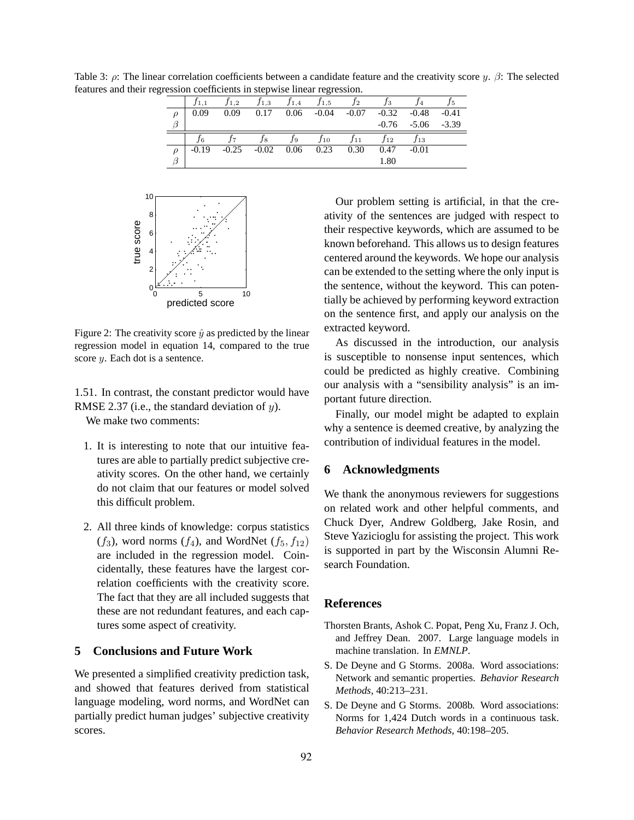$f_{1,1}$   $f_{1,2}$   $f_{1,3}$   $f_{1,4}$   $f_{1,5}$   $f_{2}$   $f_{3}$   $f_{4}$   $f_{5}$  $\rho$  | 0.09 0.09 0.17 0.06 -0.04 -0.07 -0.32 -0.48 -0.41  $\beta$  -0.76 -5.06 -3.39  $f_6$   $f_7$   $f_8$   $f_9$   $f_{10}$   $f_{11}$   $f_{12}$   $f_{13}$  $\rho$  | -0.19 -0.25 -0.02 0.06 0.23 0.30 0.47 -0.01  $\beta$  | 1.80



Figure 2: The creativity score  $\hat{y}$  as predicted by the linear regression model in equation 14, compared to the true score *y*. Each dot is a sentence.

1.51. In contrast, the constant predictor would have RMSE 2.37 (i.e., the standard deviation of  $y$ ). We make two comments:

- 1. It is interesting to note that our intuitive features are able to partially predict subjective creativity scores. On the other hand, we certainly do not claim that our features or model solved this difficult problem.
- 2. All three kinds of knowledge: corpus statistics  $(f_3)$ , word norms  $(f_4)$ , and WordNet  $(f_5, f_{12})$ are included in the regression model. Coincidentally, these features have the largest correlation coefficients with the creativity score. The fact that they are all included suggests that these are not redundant features, and each captures some aspect of creativity.

#### **5 Conclusions and Future Work**

We presented a simplified creativity prediction task, and showed that features derived from statistical language modeling, word norms, and WordNet can partially predict human judges' subjective creativity scores.

Our problem setting is artificial, in that the creativity of the sentences are judged with respect to their respective keywords, which are assumed to be known beforehand. This allows us to design features centered around the keywords. We hope our analysis can be extended to the setting where the only input is the sentence, without the keyword. This can potentially be achieved by performing keyword extraction on the sentence first, and apply our analysis on the extracted keyword.

As discussed in the introduction, our analysis is susceptible to nonsense input sentences, which could be predicted as highly creative. Combining our analysis with a "sensibility analysis" is an important future direction.

Finally, our model might be adapted to explain why a sentence is deemed creative, by analyzing the contribution of individual features in the model.

#### **6 Acknowledgments**

We thank the anonymous reviewers for suggestions on related work and other helpful comments, and Chuck Dyer, Andrew Goldberg, Jake Rosin, and Steve Yazicioglu for assisting the project. This work is supported in part by the Wisconsin Alumni Research Foundation.

#### **References**

- Thorsten Brants, Ashok C. Popat, Peng Xu, Franz J. Och, and Jeffrey Dean. 2007. Large language models in machine translation. In *EMNLP*.
- S. De Deyne and G Storms. 2008a. Word associations: Network and semantic properties. *Behavior Research Methods*, 40:213–231.
- S. De Deyne and G Storms. 2008b. Word associations: Norms for 1,424 Dutch words in a continuous task. *Behavior Research Methods*, 40:198–205.

Table 3: ρ: The linear correlation coefficients between a candidate feature and the creativity score y.  $\beta$ : The selected features and their regression coefficients in stepwise linear regression.